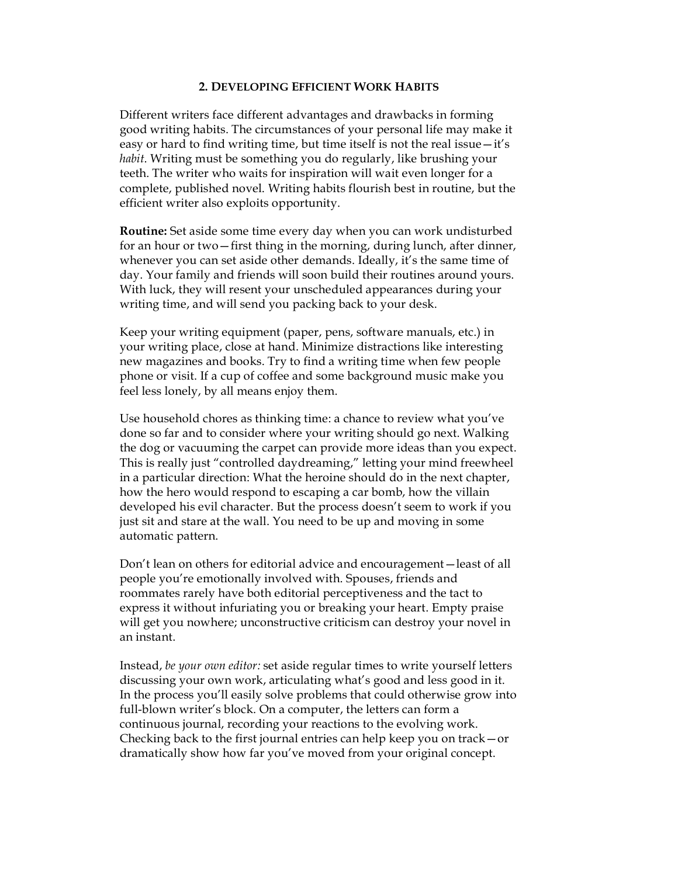## **2. DEVELOPING EFFICIENT WORK HABITS**

Different writers face different advantages and drawbacks in forming good writing habits. The circumstances of your personal life may make it easy or hard to find writing time, but time itself is not the real issue—it's *habit*. Writing must be something you do regularly, like brushing your teeth. The writer who waits for inspiration will wait even longer for a complete, published novel. Writing habits flourish best in routine, but the efficient writer also exploits opportunity.

**Routine:** Set aside some time every day when you can work undisturbed for an hour or two—first thing in the morning, during lunch, after dinner, whenever you can set aside other demands. Ideally, it's the same time of day. Your family and friends will soon build their routines around yours. With luck, they will resent your unscheduled appearances during your writing time, and will send you packing back to your desk.

Keep your writing equipment (paper, pens, software manuals, etc.) in your writing place, close at hand. Minimize distractions like interesting new magazines and books. Try to find a writing time when few people phone or visit. If a cup of coffee and some background music make you feel less lonely, by all means enjoy them.

Use household chores as thinking time: a chance to review what you've done so far and to consider where your writing should go next. Walking the dog or vacuuming the carpet can provide more ideas than you expect. This is really just "controlled daydreaming," letting your mind freewheel in a particular direction: What the heroine should do in the next chapter, how the hero would respond to escaping a car bomb, how the villain developed his evil character. But the process doesn't seem to work if you just sit and stare at the wall. You need to be up and moving in some automatic pattern.

Don't lean on others for editorial advice and encouragement—least of all people you're emotionally involved with. Spouses, friends and roommates rarely have both editorial perceptiveness and the tact to express it without infuriating you or breaking your heart. Empty praise will get you nowhere; unconstructive criticism can destroy your novel in an instant.

Instead, *be your own editor:* set aside regular times to write yourself letters discussing your own work, articulating what's good and less good in it. In the process you'll easily solve problems that could otherwise grow into full-blown writer's block. On a computer, the letters can form a continuous journal, recording your reactions to the evolving work. Checking back to the first journal entries can help keep you on track—or dramatically show how far you've moved from your original concept.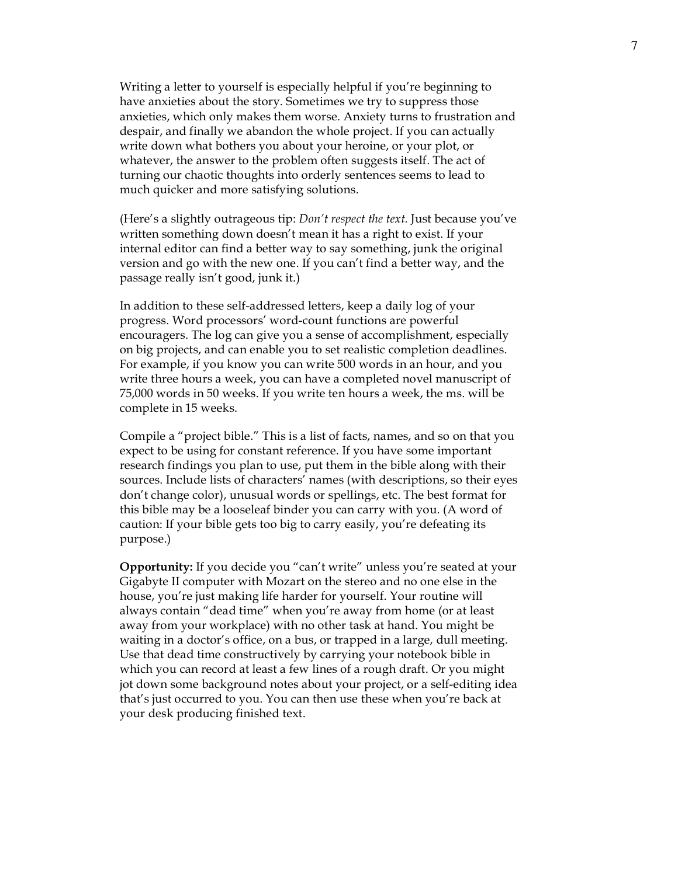Writing a letter to yourself is especially helpful if you're beginning to have anxieties about the story. Sometimes we try to suppress those anxieties, which only makes them worse. Anxiety turns to frustration and despair, and finally we abandon the whole project. If you can actually write down what bothers you about your heroine, or your plot, or whatever, the answer to the problem often suggests itself. The act of turning our chaotic thoughts into orderly sentences seems to lead to much quicker and more satisfying solutions.

(Here's a slightly outrageous tip: *Don't respect the text.* Just because you've written something down doesn't mean it has a right to exist. If your internal editor can find a better way to say something, junk the original version and go with the new one. If you can't find a better way, and the passage really isn't good, junk it.)

In addition to these self-addressed letters, keep a daily log of your progress. Word processors' word-count functions are powerful encouragers. The log can give you a sense of accomplishment, especially on big projects, and can enable you to set realistic completion deadlines. For example, if you know you can write 500 words in an hour, and you write three hours a week, you can have a completed novel manuscript of 75,000 words in 50 weeks. If you write ten hours a week, the ms. will be complete in 15 weeks.

Compile a "project bible." This is a list of facts, names, and so on that you expect to be using for constant reference. If you have some important research findings you plan to use, put them in the bible along with their sources. Include lists of characters' names (with descriptions, so their eyes don't change color), unusual words or spellings, etc. The best format for this bible may be a looseleaf binder you can carry with you. (A word of caution: If your bible gets too big to carry easily, you're defeating its purpose.)

**Opportunity:** If you decide you "can't write" unless you're seated at your Gigabyte II computer with Mozart on the stereo and no one else in the house, you're just making life harder for yourself. Your routine will always contain "dead time" when you're away from home (or at least away from your workplace) with no other task at hand. You might be waiting in a doctor's office, on a bus, or trapped in a large, dull meeting. Use that dead time constructively by carrying your notebook bible in which you can record at least a few lines of a rough draft. Or you might jot down some background notes about your project, or a self-editing idea that's just occurred to you. You can then use these when you're back at your desk producing finished text.